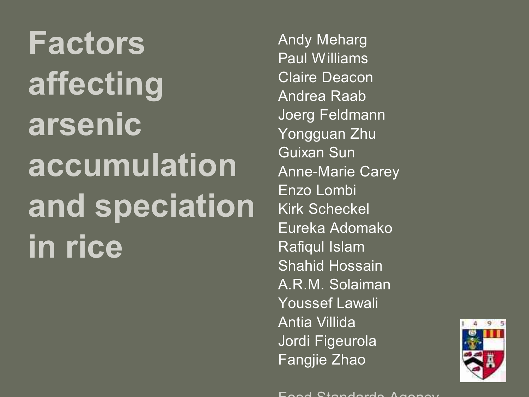**Factors affecting arsenic accumulation and speciation in rice**

Andy Meharg Paul Williams Claire Deacon Andrea Raab Joerg Feldmann Yongguan Zhu Guixan Sun Anne-Marie Carey Enzo Lombi Kirk Scheckel Eureka Adomako Rafiqul Islam Shahid Hossain A.R.M. Solaiman Youssef Lawali Antia Villida Jordi Figeurola Fangjie Zhao

Food Standards Agency

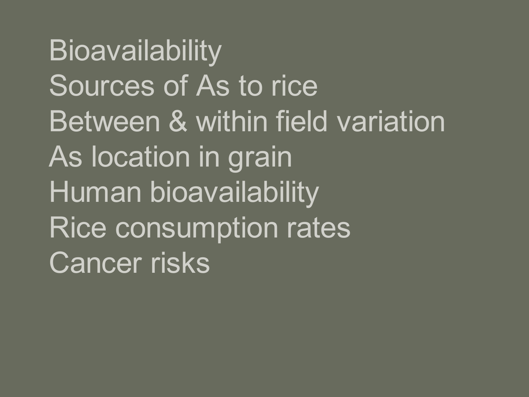**Bioavailability** Sources of As to rice Between & within field variation As location in grain Human bioavailability Rice consumption rates Cancer risks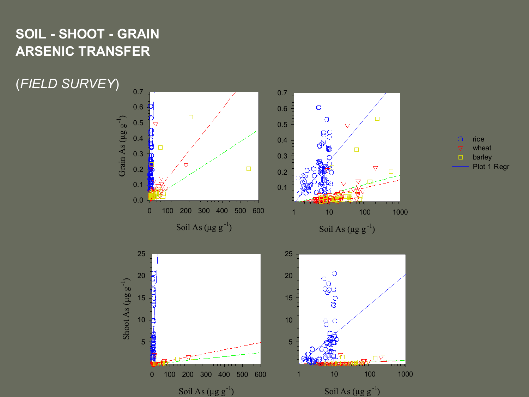#### **SOIL - SHOOT - GRAIN ARSENIC TRANSFER**

(*FIELD SURVEY*)





 $\Box$ 

 $\triangledown$ 

 $\Box$ 

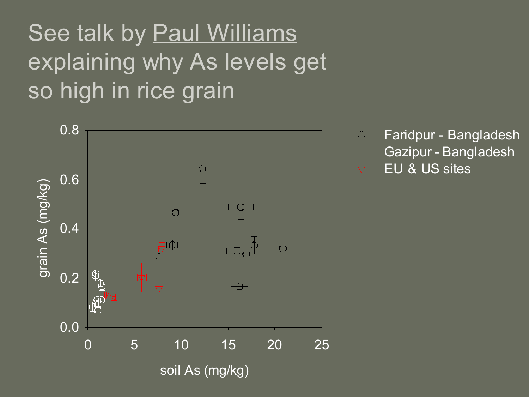# See talk by Paul Williams explaining why As levels get so high in rice grain



- 
- Gazipur Bangladesh  $\bigcirc$
- EU & US sites $\overline{\nabla}$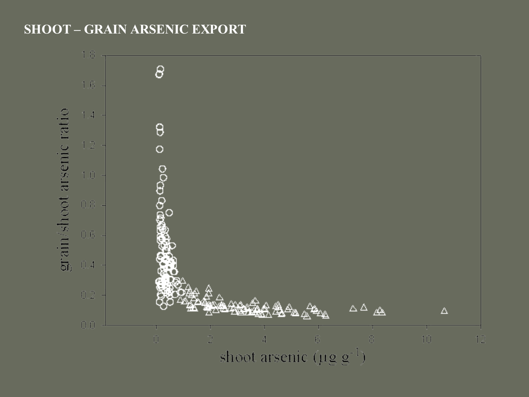#### **SHOOT – GRAIN ARSENIC EXPORT**

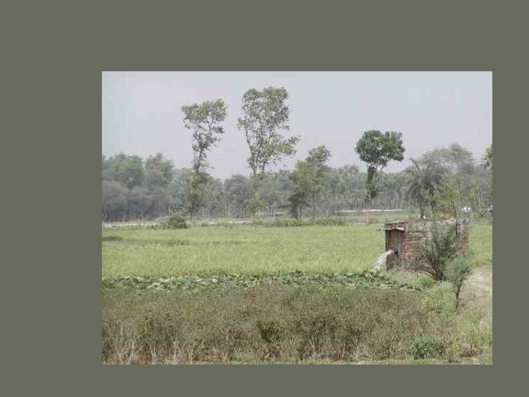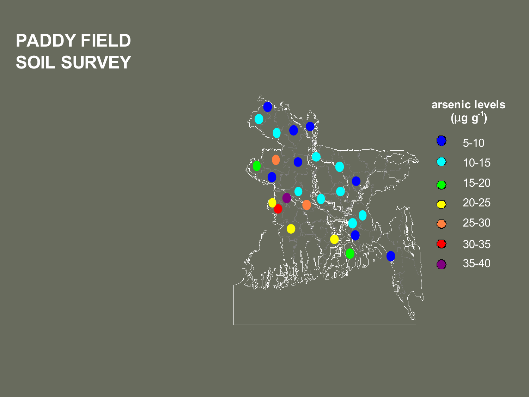### **PADDY FIELD SOIL SURVEY**

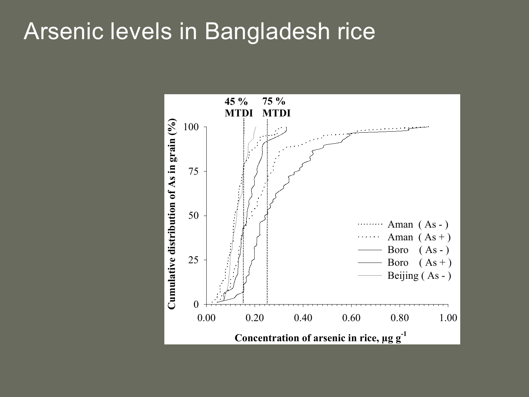## Arsenic levels in Bangladesh rice

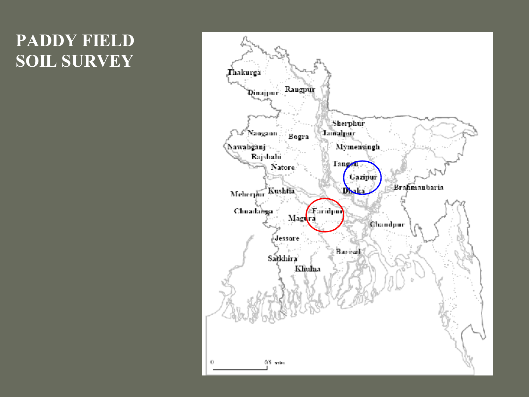#### **PADDY FIELD SOIL SURVEY**

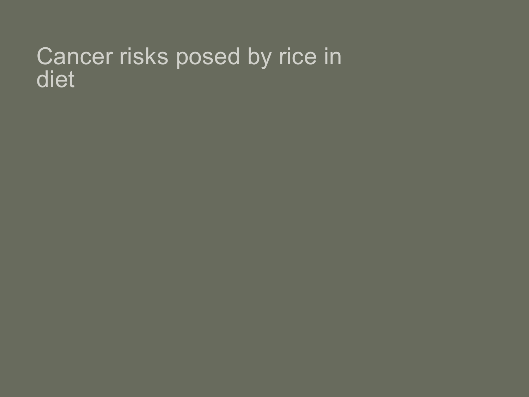## Cancer risks posed by rice in diet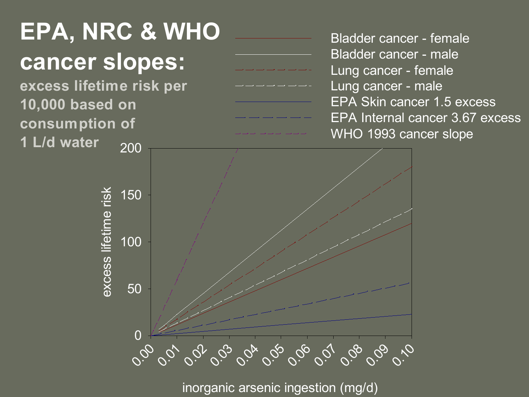# **EPA, NRC & WHO cancer slopes:**

**excess lifetime risk per 10,000 based on consumption of 1 L/d water** 200

Bladder cancer - female Bladder cancer - male Lung cancer - female Lung cancer - male EPA Skin cancer 1.5 excess EPA Internal cancer 3.67 excess WHO 1993 cancer slope



inorganic arsenic ingestion (mg/d)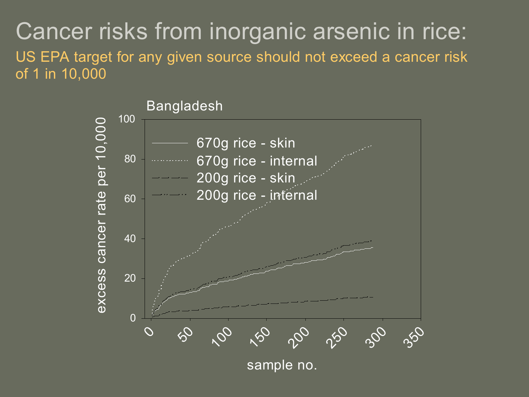### Cancer risks from inorganic arsenic in rice: US EPA target for any given source should not exceed a cancer risk of 1 in 10,000



sample no.